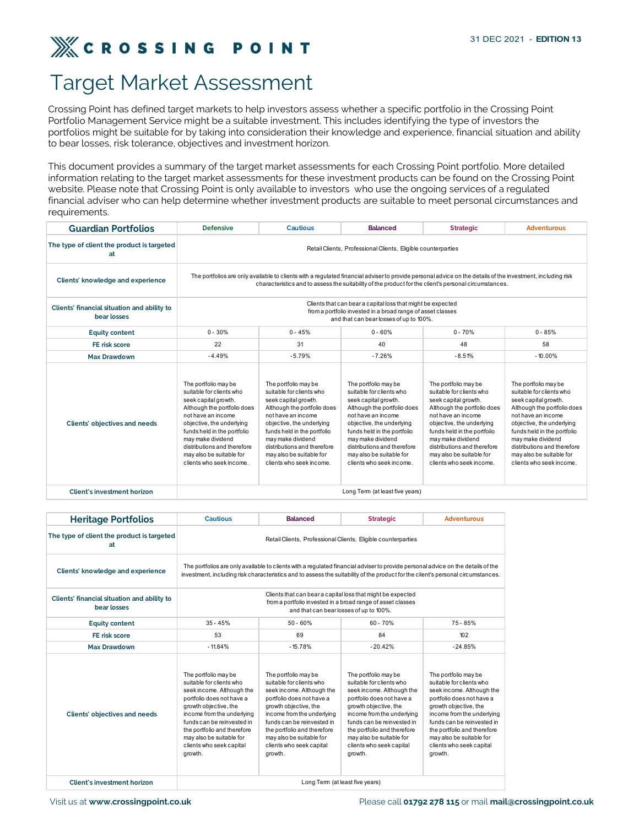

## Target Market Assessment

| <b>Target Market Assessment</b>                                                                                                                                                                                                                                                                                                                                                                                                                                                                              |                                                                                                                                                                                                                                                                                                       |                                                                                                                                                                                                                                                                                                       |                                                                                                                                                                                                                                                                                                       |                                                                                                                                                                                                                                                                                                       |                                                                                                                                                                                                                                                                                                       |  |
|--------------------------------------------------------------------------------------------------------------------------------------------------------------------------------------------------------------------------------------------------------------------------------------------------------------------------------------------------------------------------------------------------------------------------------------------------------------------------------------------------------------|-------------------------------------------------------------------------------------------------------------------------------------------------------------------------------------------------------------------------------------------------------------------------------------------------------|-------------------------------------------------------------------------------------------------------------------------------------------------------------------------------------------------------------------------------------------------------------------------------------------------------|-------------------------------------------------------------------------------------------------------------------------------------------------------------------------------------------------------------------------------------------------------------------------------------------------------|-------------------------------------------------------------------------------------------------------------------------------------------------------------------------------------------------------------------------------------------------------------------------------------------------------|-------------------------------------------------------------------------------------------------------------------------------------------------------------------------------------------------------------------------------------------------------------------------------------------------------|--|
| Crossing Point has defined target markets to help investors assess whether a specific portfolio in the Crossing Point<br>Portfolio Management Service might be a suitable investment. This includes identifying the type of investors the<br>portfolios might be suitable for by taking into consideration their knowledge and experience, financial situation and ability<br>to bear losses, risk tolerance, objectives and investment horizon.                                                             |                                                                                                                                                                                                                                                                                                       |                                                                                                                                                                                                                                                                                                       |                                                                                                                                                                                                                                                                                                       |                                                                                                                                                                                                                                                                                                       |                                                                                                                                                                                                                                                                                                       |  |
| This document provides a summary of the target market assessments for each Crossing Point portfolio. More detailed<br>information relating to the target market assessments for these investment products can be found on the Crossing Point<br>website. Please note that Crossing Point is only available to investors who use the ongoing services of a regulated<br>financial adviser who can help determine whether investment products are suitable to meet personal circumstances and<br>requirements. |                                                                                                                                                                                                                                                                                                       |                                                                                                                                                                                                                                                                                                       |                                                                                                                                                                                                                                                                                                       |                                                                                                                                                                                                                                                                                                       |                                                                                                                                                                                                                                                                                                       |  |
| <b>Guardian Portfolios</b>                                                                                                                                                                                                                                                                                                                                                                                                                                                                                   | <b>Defensive</b>                                                                                                                                                                                                                                                                                      | <b>Cautious</b>                                                                                                                                                                                                                                                                                       | <b>Balanced</b>                                                                                                                                                                                                                                                                                       | <b>Strategic</b>                                                                                                                                                                                                                                                                                      | <b>Adventurous</b>                                                                                                                                                                                                                                                                                    |  |
| The type of client the product is targeted<br>at                                                                                                                                                                                                                                                                                                                                                                                                                                                             | Retail Clients, Professional Clients, Eligible counterparties                                                                                                                                                                                                                                         |                                                                                                                                                                                                                                                                                                       |                                                                                                                                                                                                                                                                                                       |                                                                                                                                                                                                                                                                                                       |                                                                                                                                                                                                                                                                                                       |  |
| Clients' knowledge and experience                                                                                                                                                                                                                                                                                                                                                                                                                                                                            | The portfolios are only available to clients with a regulated financial adviser to provide personal advice on the details of the investment, including risk<br>characteristics and to assess the suitability of the product for the client's personal circumstances.                                  |                                                                                                                                                                                                                                                                                                       |                                                                                                                                                                                                                                                                                                       |                                                                                                                                                                                                                                                                                                       |                                                                                                                                                                                                                                                                                                       |  |
| Clients' financial situation and ability to<br>bear losses                                                                                                                                                                                                                                                                                                                                                                                                                                                   | Clients that can bear a capital loss that might be expected<br>from a portfolio invested in a broad range of asset classes<br>and that can bear losses of up to 100%.                                                                                                                                 |                                                                                                                                                                                                                                                                                                       |                                                                                                                                                                                                                                                                                                       |                                                                                                                                                                                                                                                                                                       |                                                                                                                                                                                                                                                                                                       |  |
| <b>Equity content</b>                                                                                                                                                                                                                                                                                                                                                                                                                                                                                        | $0 - 30%$                                                                                                                                                                                                                                                                                             | $0 - 45%$                                                                                                                                                                                                                                                                                             | $0 - 60%$                                                                                                                                                                                                                                                                                             | $0 - 70%$                                                                                                                                                                                                                                                                                             | $0 - 85%$                                                                                                                                                                                                                                                                                             |  |
| FE risk score                                                                                                                                                                                                                                                                                                                                                                                                                                                                                                | 22                                                                                                                                                                                                                                                                                                    | 31                                                                                                                                                                                                                                                                                                    | 40                                                                                                                                                                                                                                                                                                    | 48                                                                                                                                                                                                                                                                                                    | 58                                                                                                                                                                                                                                                                                                    |  |
| <b>Max Drawdown</b>                                                                                                                                                                                                                                                                                                                                                                                                                                                                                          | $-4.49%$                                                                                                                                                                                                                                                                                              | $-5.79%$                                                                                                                                                                                                                                                                                              | $-7.26%$                                                                                                                                                                                                                                                                                              | $-8.51%$                                                                                                                                                                                                                                                                                              | $-10.00%$                                                                                                                                                                                                                                                                                             |  |
| Clients' objectives and needs                                                                                                                                                                                                                                                                                                                                                                                                                                                                                | The portfolio may be<br>suitable for clients who<br>seek capital growth.<br>Although the portfolio does<br>not have an income<br>objective, the underlying<br>funds held in the portfolio<br>may make dividend<br>distributions and therefore<br>may also be suitable for<br>clients who seek income. | The portfolio may be<br>suitable for clients who<br>seek capital growth.<br>Although the portfolio does<br>not have an income<br>objective, the underlying<br>funds held in the portfolio<br>may make dividend<br>distributions and therefore<br>may also be suitable for<br>clients who seek income. | The portfolio may be<br>suitable for clients who<br>seek capital growth.<br>Although the portfolio does<br>not have an income<br>objective, the underlying<br>funds held in the portfolio<br>may make dividend<br>distributions and therefore<br>may also be suitable for<br>clients who seek income. | The portfolio may be<br>suitable for clients who<br>seek capital growth.<br>Although the portfolio does<br>not have an income<br>objective, the underlying<br>funds held in the portfolio<br>may make dividend<br>distributions and therefore<br>may also be suitable for<br>clients who seek income. | The portfolio may be<br>suitable for clients who<br>seek capital growth.<br>Although the portfolio does<br>not have an income<br>objective, the underlying<br>funds held in the portfolio<br>may make dividend<br>distributions and therefore<br>may also be suitable for<br>clients who seek income. |  |
| Client's investment horizon                                                                                                                                                                                                                                                                                                                                                                                                                                                                                  |                                                                                                                                                                                                                                                                                                       |                                                                                                                                                                                                                                                                                                       | Long Term (at least five years)                                                                                                                                                                                                                                                                       |                                                                                                                                                                                                                                                                                                       |                                                                                                                                                                                                                                                                                                       |  |
|                                                                                                                                                                                                                                                                                                                                                                                                                                                                                                              |                                                                                                                                                                                                                                                                                                       |                                                                                                                                                                                                                                                                                                       |                                                                                                                                                                                                                                                                                                       |                                                                                                                                                                                                                                                                                                       |                                                                                                                                                                                                                                                                                                       |  |
| <b>Heritage Portfolios</b>                                                                                                                                                                                                                                                                                                                                                                                                                                                                                   | <b>Cautious</b>                                                                                                                                                                                                                                                                                       | <b>Balanced</b>                                                                                                                                                                                                                                                                                       | <b>Strategic</b>                                                                                                                                                                                                                                                                                      | <b>Adventurous</b>                                                                                                                                                                                                                                                                                    |                                                                                                                                                                                                                                                                                                       |  |
| The type of client the product is targeted<br>at                                                                                                                                                                                                                                                                                                                                                                                                                                                             |                                                                                                                                                                                                                                                                                                       |                                                                                                                                                                                                                                                                                                       |                                                                                                                                                                                                                                                                                                       |                                                                                                                                                                                                                                                                                                       |                                                                                                                                                                                                                                                                                                       |  |
| Clients' knowledge and experience                                                                                                                                                                                                                                                                                                                                                                                                                                                                            | The portfolios are only available to clients with a regulated financial adviser to provide personal advice on the details of the<br>investment, including risk characteristics and to assess the suitability of the product for the client's personal circumstances.                                  |                                                                                                                                                                                                                                                                                                       |                                                                                                                                                                                                                                                                                                       |                                                                                                                                                                                                                                                                                                       |                                                                                                                                                                                                                                                                                                       |  |
| Clients' financial situation and ability to<br>bear losses                                                                                                                                                                                                                                                                                                                                                                                                                                                   | Clients that can bear a capital loss that might be expected<br>from a portfolio invested in a broad range of asset classes<br>and that can bear losses of up to 100%.                                                                                                                                 |                                                                                                                                                                                                                                                                                                       |                                                                                                                                                                                                                                                                                                       |                                                                                                                                                                                                                                                                                                       |                                                                                                                                                                                                                                                                                                       |  |
| <b>Equity content</b>                                                                                                                                                                                                                                                                                                                                                                                                                                                                                        | $35 - 45%$                                                                                                                                                                                                                                                                                            | $50 - 60%$                                                                                                                                                                                                                                                                                            | 60 - 70%                                                                                                                                                                                                                                                                                              | 75 - 85%                                                                                                                                                                                                                                                                                              |                                                                                                                                                                                                                                                                                                       |  |
| FE risk score                                                                                                                                                                                                                                                                                                                                                                                                                                                                                                | 53                                                                                                                                                                                                                                                                                                    | 69                                                                                                                                                                                                                                                                                                    | 84                                                                                                                                                                                                                                                                                                    | 102                                                                                                                                                                                                                                                                                                   |                                                                                                                                                                                                                                                                                                       |  |
| <b>Max Drawdown</b>                                                                                                                                                                                                                                                                                                                                                                                                                                                                                          | $-11.84%$                                                                                                                                                                                                                                                                                             | $-15.78%$                                                                                                                                                                                                                                                                                             | $-20.42%$                                                                                                                                                                                                                                                                                             | $-24.85%$                                                                                                                                                                                                                                                                                             |                                                                                                                                                                                                                                                                                                       |  |
|                                                                                                                                                                                                                                                                                                                                                                                                                                                                                                              | The portfolio may be<br>suitable for clients who                                                                                                                                                                                                                                                      | The portfolio may be<br>suitable for clients who                                                                                                                                                                                                                                                      | The portfolio may be<br>suitable for clients who                                                                                                                                                                                                                                                      | The portfolio may be<br>suitable for clients who                                                                                                                                                                                                                                                      |                                                                                                                                                                                                                                                                                                       |  |

| Clients' objectives and needs                                                  | The portfolio may be<br>suitable for clients who<br>seek capital growth.<br>Although the portfolio does<br>not have an income<br>objective, the underlying<br>funds held in the portfolio<br>may make dividend<br>distributions and therefore<br>may also be suitable for<br>clients who seek income. | The portfolio may be<br>suitable for clients who<br>seek capital growth.<br>Although the portfolio does<br>not have an income<br>objective, the underlying<br>funds held in the portfolio<br>may make dividend<br>distributions and therefore<br>may also be suitable for<br>clients who seek income. | The portfolio may be<br>suitable for clients who<br>seek capital growth.<br>Although the portfolio does<br>not have an income<br>objective, the underlying<br>funds held in the portfolio<br>may make dividend<br>distributions and therefore<br>may also be suitable for<br>clients who seek income. | The portfolio may be<br>suitable for clients who<br>seek capital growth.<br>Although the portfolio does<br>not have an income<br>objective, the underlying<br>funds held in the portfolio<br>may make dividend<br>distributions and therefore<br>may also be suitable for<br>clients who seek income. | The portfolio may be<br>suitable for clients who<br>seek capital growth.<br>Although the portfolio does<br>not have an income<br>objective, the underlying<br>funds held in the portfolio<br>may make dividend<br>distributions and therefore<br>may also be suitable for<br>clients who seek income. |
|--------------------------------------------------------------------------------|-------------------------------------------------------------------------------------------------------------------------------------------------------------------------------------------------------------------------------------------------------------------------------------------------------|-------------------------------------------------------------------------------------------------------------------------------------------------------------------------------------------------------------------------------------------------------------------------------------------------------|-------------------------------------------------------------------------------------------------------------------------------------------------------------------------------------------------------------------------------------------------------------------------------------------------------|-------------------------------------------------------------------------------------------------------------------------------------------------------------------------------------------------------------------------------------------------------------------------------------------------------|-------------------------------------------------------------------------------------------------------------------------------------------------------------------------------------------------------------------------------------------------------------------------------------------------------|
| <b>Client's investment horizon</b>                                             |                                                                                                                                                                                                                                                                                                       |                                                                                                                                                                                                                                                                                                       | Long Term (at least five years)                                                                                                                                                                                                                                                                       |                                                                                                                                                                                                                                                                                                       |                                                                                                                                                                                                                                                                                                       |
|                                                                                | <b>Cautious</b>                                                                                                                                                                                                                                                                                       | <b>Balanced</b>                                                                                                                                                                                                                                                                                       | <b>Strategic</b>                                                                                                                                                                                                                                                                                      | <b>Adventurous</b>                                                                                                                                                                                                                                                                                    |                                                                                                                                                                                                                                                                                                       |
| <b>Heritage Portfolios</b><br>The type of client the product is targeted<br>at |                                                                                                                                                                                                                                                                                                       |                                                                                                                                                                                                                                                                                                       | Retail Clients, Professional Clients, Eligible counterparties                                                                                                                                                                                                                                         |                                                                                                                                                                                                                                                                                                       |                                                                                                                                                                                                                                                                                                       |
| Clients' knowledge and experience                                              |                                                                                                                                                                                                                                                                                                       |                                                                                                                                                                                                                                                                                                       | The portfolios are only available to clients with a regulated financial adviser to provide personal advice on the details of the<br>investment, including risk characteristics and to assess the suitability of the product for the client's personal circumstances.                                  |                                                                                                                                                                                                                                                                                                       |                                                                                                                                                                                                                                                                                                       |
| Clients' financial situation and ability to<br>bear losses                     |                                                                                                                                                                                                                                                                                                       |                                                                                                                                                                                                                                                                                                       | Clients that can bear a capital loss that might be expected<br>from a portfolio invested in a broad range of asset classes<br>and that can bear losses of up to 100%.                                                                                                                                 |                                                                                                                                                                                                                                                                                                       |                                                                                                                                                                                                                                                                                                       |
| <b>Equity content</b>                                                          | $35 - 45%$                                                                                                                                                                                                                                                                                            | $50 - 60%$                                                                                                                                                                                                                                                                                            | 60 - 70%                                                                                                                                                                                                                                                                                              | 75 - 85%                                                                                                                                                                                                                                                                                              |                                                                                                                                                                                                                                                                                                       |
| FE risk score                                                                  | 53                                                                                                                                                                                                                                                                                                    | 69                                                                                                                                                                                                                                                                                                    | 84                                                                                                                                                                                                                                                                                                    | 102                                                                                                                                                                                                                                                                                                   |                                                                                                                                                                                                                                                                                                       |
| <b>Max Drawdown</b>                                                            | $-11.84%$                                                                                                                                                                                                                                                                                             | $-15.78%$                                                                                                                                                                                                                                                                                             | $-20.42%$                                                                                                                                                                                                                                                                                             | $-24.85%$                                                                                                                                                                                                                                                                                             |                                                                                                                                                                                                                                                                                                       |
| Clients' objectives and needs                                                  | The portfolio may be<br>suitable for clients who<br>seek income. Although the<br>portfolio does not have a<br>growth objective, the<br>income from the underlying<br>funds can be reinvested in<br>the portfolio and therefore<br>may also be suitable for<br>clients who seek capital<br>growth.     | The portfolio may be<br>suitable for clients who<br>seek income. Although the<br>portfolio does not have a<br>growth objective, the<br>income from the underlying<br>funds can be reinvested in<br>the portfolio and therefore<br>may also be suitable for<br>clients who seek capital<br>growth.     | The portfolio may be<br>suitable for clients who<br>seek income. Although the<br>portfolio does not have a<br>growth objective, the<br>income from the underlying<br>funds can be reinvested in<br>the portfolio and therefore<br>may also be suitable for<br>clients who seek capital<br>growth.     | The portfolio may be<br>suitable for clients who<br>seek income. Although the<br>portfolio does not have a<br>growth objective, the<br>income from the underlying<br>funds can be reinvested in<br>the portfolio and therefore<br>may also be suitable for<br>clients who seek capital<br>growth.     |                                                                                                                                                                                                                                                                                                       |
| Client's investment horizon                                                    |                                                                                                                                                                                                                                                                                                       |                                                                                                                                                                                                                                                                                                       | Long Term (at least five years)                                                                                                                                                                                                                                                                       |                                                                                                                                                                                                                                                                                                       |                                                                                                                                                                                                                                                                                                       |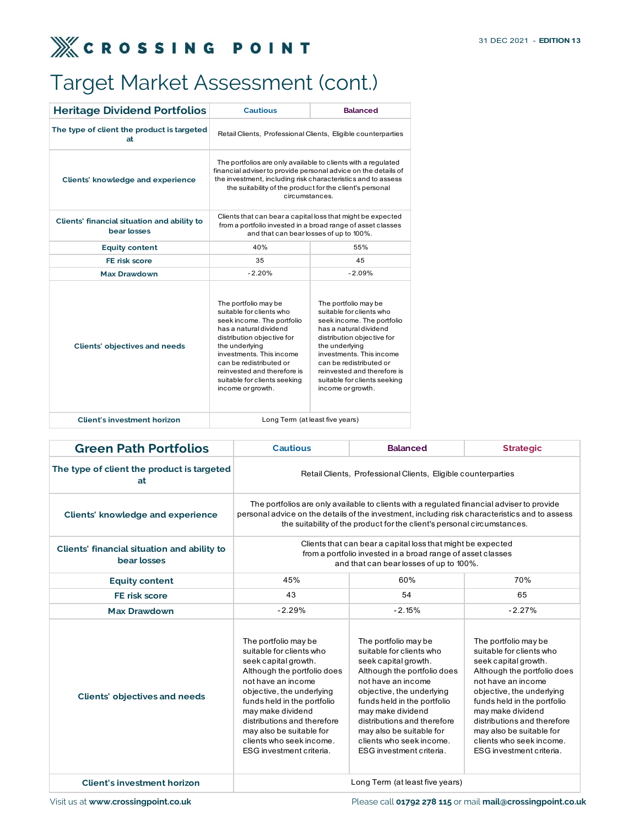## Target Market Assessment (cont.)

| <b>EROSSING POINT</b>                                      |                                                                                                                                                                                                                                                                                                     |                                                                                                                                                                                                                                                                                                     | 31 DEC 2021 - EDITION 13 |
|------------------------------------------------------------|-----------------------------------------------------------------------------------------------------------------------------------------------------------------------------------------------------------------------------------------------------------------------------------------------------|-----------------------------------------------------------------------------------------------------------------------------------------------------------------------------------------------------------------------------------------------------------------------------------------------------|--------------------------|
| Target Market Assessment (cont.)                           |                                                                                                                                                                                                                                                                                                     |                                                                                                                                                                                                                                                                                                     |                          |
| <b>Heritage Dividend Portfolios</b>                        | <b>Cautious</b>                                                                                                                                                                                                                                                                                     | <b>Balanced</b>                                                                                                                                                                                                                                                                                     |                          |
| The type of client the product is targeted<br>at           |                                                                                                                                                                                                                                                                                                     | Retail Clients, Professional Clients, Eligible counterparties                                                                                                                                                                                                                                       |                          |
| Clients' knowledge and experience                          | The portfolios are only available to clients with a regulated<br>financial adviser to provide personal advice on the details of<br>the investment, including risk characteristics and to assess<br>the suitability of the product for the client's personal<br>circumstances.                       |                                                                                                                                                                                                                                                                                                     |                          |
| Clients' financial situation and ability to<br>bear losses |                                                                                                                                                                                                                                                                                                     | Clients that can bear a capital loss that might be expected<br>from a portfolio invested in a broad range of asset classes<br>and that can bear losses of up to 100%.                                                                                                                               |                          |
| <b>Equity content</b>                                      | 40%                                                                                                                                                                                                                                                                                                 | 55%                                                                                                                                                                                                                                                                                                 |                          |
| FE risk score                                              | 35                                                                                                                                                                                                                                                                                                  | 45                                                                                                                                                                                                                                                                                                  |                          |
| <b>Max Drawdown</b>                                        | $-2.20%$                                                                                                                                                                                                                                                                                            | $-2.09%$                                                                                                                                                                                                                                                                                            |                          |
| <b>Clients' objectives and needs</b>                       | The portfolio may be<br>suitable for clients who<br>seek income. The portfolio<br>has a natural dividend<br>distribution objective for<br>the underlying<br>investments. This income<br>can be redistributed or<br>reinvested and therefore is<br>suitable for clients seeking<br>income or growth. | The portfolio may be<br>suitable for clients who<br>seek income. The portfolio<br>has a natural dividend<br>distribution objective for<br>the underlying<br>investments. This income<br>can be redistributed or<br>reinvested and therefore is<br>suitable for clients seeking<br>income or growth. |                          |
| <b>Client's investment horizon</b>                         |                                                                                                                                                                                                                                                                                                     | Long Term (at least five years)                                                                                                                                                                                                                                                                     |                          |

| <b>Clients' objectives and needs</b>                       | suitable for clients who<br>seek income. The portfolio<br>has a natural dividend<br>distribution objective for<br>the underlying<br>investments. This income<br>can be redistributed or<br>reinvested and therefore is<br>suitable for clients seeking<br>income or growth.                                                       | the underlying<br>income or growth. | suitable for clients who<br>seek income. The portfolio<br>has a natural dividend<br>distribution objective for<br>investments. This income<br>can be redistributed or<br>reinvested and therefore is<br>suitable for clients seeking                                                                                              |                 |                                                                                                                                                                                                                                                                                                                                   |
|------------------------------------------------------------|-----------------------------------------------------------------------------------------------------------------------------------------------------------------------------------------------------------------------------------------------------------------------------------------------------------------------------------|-------------------------------------|-----------------------------------------------------------------------------------------------------------------------------------------------------------------------------------------------------------------------------------------------------------------------------------------------------------------------------------|-----------------|-----------------------------------------------------------------------------------------------------------------------------------------------------------------------------------------------------------------------------------------------------------------------------------------------------------------------------------|
| <b>Client's investment horizon</b>                         |                                                                                                                                                                                                                                                                                                                                   | Long Term (at least five years)     |                                                                                                                                                                                                                                                                                                                                   |                 |                                                                                                                                                                                                                                                                                                                                   |
| <b>Green Path Portfolios</b>                               |                                                                                                                                                                                                                                                                                                                                   | <b>Cautious</b>                     |                                                                                                                                                                                                                                                                                                                                   | <b>Balanced</b> | <b>Strategic</b>                                                                                                                                                                                                                                                                                                                  |
| The type of client the product is targeted<br>at           |                                                                                                                                                                                                                                                                                                                                   |                                     | Retail Clients, Professional Clients, Eligible counterparties                                                                                                                                                                                                                                                                     |                 |                                                                                                                                                                                                                                                                                                                                   |
| <b>Clients' knowledge and experience</b>                   |                                                                                                                                                                                                                                                                                                                                   |                                     |                                                                                                                                                                                                                                                                                                                                   |                 | The portfolios are only available to clients with a regulated financial adviser to provide<br>personal advice on the details of the investment, including risk characteristics and to assess<br>the suitability of the product for the client's personal circumstances.                                                           |
| Clients' financial situation and ability to<br>bear losses |                                                                                                                                                                                                                                                                                                                                   |                                     | Clients that can bear a capital loss that might be expected<br>from a portfolio invested in a broad range of asset classes<br>and that can bear losses of up to 100%.                                                                                                                                                             |                 |                                                                                                                                                                                                                                                                                                                                   |
| <b>Equity content</b>                                      | 45%                                                                                                                                                                                                                                                                                                                               |                                     | 60%                                                                                                                                                                                                                                                                                                                               |                 | 70%                                                                                                                                                                                                                                                                                                                               |
| FE risk score                                              | 43                                                                                                                                                                                                                                                                                                                                |                                     |                                                                                                                                                                                                                                                                                                                                   | 54              | 65                                                                                                                                                                                                                                                                                                                                |
| <b>Max Drawdown</b>                                        |                                                                                                                                                                                                                                                                                                                                   | $-2.29%$                            |                                                                                                                                                                                                                                                                                                                                   | $-2.15%$        | $-2.27%$                                                                                                                                                                                                                                                                                                                          |
| <b>Clients' objectives and needs</b>                       | The portfolio may be<br>suitable for clients who<br>seek capital growth.<br>Although the portfolio does<br>not have an income<br>objective, the underlying<br>funds held in the portfolio<br>may make dividend<br>distributions and therefore<br>may also be suitable for<br>clients who seek income.<br>ESG investment criteria. |                                     | The portfolio may be<br>suitable for clients who<br>seek capital growth.<br>Although the portfolio does<br>not have an income<br>objective, the underlying<br>funds held in the portfolio<br>may make dividend<br>distributions and therefore<br>may also be suitable for<br>clients who seek income.<br>ESG investment criteria. |                 | The portfolio may be<br>suitable for clients who<br>seek capital growth.<br>Although the portfolio does<br>not have an income<br>objective, the underlying<br>funds held in the portfolio<br>may make dividend<br>distributions and therefore<br>may also be suitable for<br>clients who seek income.<br>ESG investment criteria. |
| <b>Client's investment horizon</b>                         |                                                                                                                                                                                                                                                                                                                                   |                                     | Long Term (at least five years)                                                                                                                                                                                                                                                                                                   |                 |                                                                                                                                                                                                                                                                                                                                   |

Visit us at www.crossingpoint.co.uk **Please call 01792 278 115** or mail mail@crossingpoint.co.uk